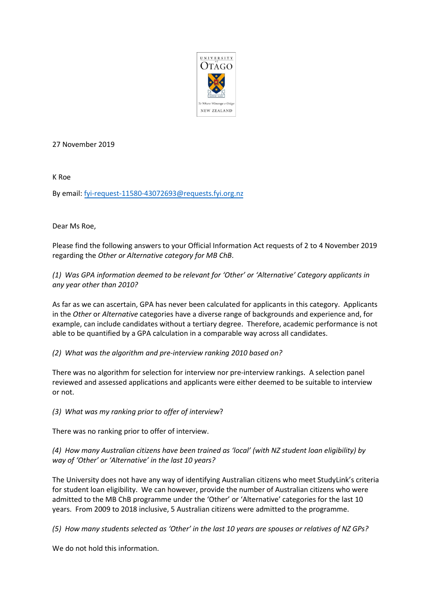

27 November 2019

K Roe

By email: [fyi-request-11580-43072693@requests.fyi.org.nz](mailto:xxxxxxxxxxxxxxxxxxxxxxxxxx@xxxxxxxx.xxx.xxx.xx)

Dear Ms Roe,

Please find the following answers to your Official Information Act requests of 2 to 4 November 2019 regarding the *Other or Alternative category for MB ChB*.

## *(1) Was GPA information deemed to be relevant for 'Other' or 'Alternative' Category applicants in any year other than 2010?*

As far as we can ascertain, GPA has never been calculated for applicants in this category. Applicants in the *Other* or *Alternative* categories have a diverse range of backgrounds and experience and, for example, can include candidates without a tertiary degree. Therefore, academic performance is not able to be quantified by a GPA calculation in a comparable way across all candidates.

*(2) What was the algorithm and pre-interview ranking 2010 based on?*

There was no algorithm for selection for interview nor pre-interview rankings. A selection panel reviewed and assessed applications and applicants were either deemed to be suitable to interview or not.

*(3) What was my ranking prior to offer of interview*?

There was no ranking prior to offer of interview.

*(4) How many Australian citizens have been trained as 'local' (with NZ student loan eligibility) by way of 'Other' or 'Alternative' in the last 10 years?*

The University does not have any way of identifying Australian citizens who meet StudyLink's criteria for student loan eligibility. We can however, provide the number of Australian citizens who were admitted to the MB ChB programme under the 'Other' or 'Alternative' categories for the last 10 years. From 2009 to 2018 inclusive, 5 Australian citizens were admitted to the programme.

*(5) How many students selected as 'Other' in the last 10 years are spouses or relatives of NZ GPs?*

We do not hold this information.